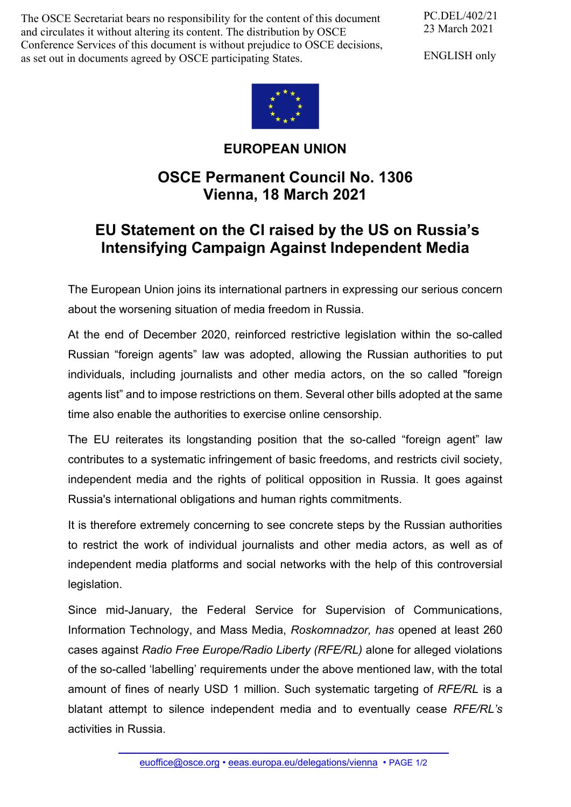The OSCE Secretariat bears no responsibility for the content of this document and circulates it without altering its content. The distribution by OSCE Conference Services of this document is without prejudice to OSCE decisions, as set out in documents agreed by OSCE participating States.

PC.DEL/402/21 23 March 2021

ENGLISH only



## **EUROPEAN UNION**

## **OSCE Permanent Council No. 1306 Vienna, 18 March 2021**

## **EU Statement on the CI raised by the US on Russia's Intensifying Campaign Against Independent Media**

The European Union joins its international partners in expressing our serious concern about the worsening situation of media freedom in Russia.

At the end of December 2020, reinforced restrictive legislation within the so-called Russian "foreign agents" law was adopted, allowing the Russian authorities to put individuals, including journalists and other media actors, on the so called "foreign agents list" and to impose restrictions on them. Several other bills adopted at the same time also enable the authorities to exercise online censorship.

The EU reiterates its longstanding position that the so-called "foreign agent" law contributes to a systematic infringement of basic freedoms, and restricts civil society, independent media and the rights of political opposition in Russia. It goes against Russia's international obligations and human rights commitments.

It is therefore extremely concerning to see concrete steps by the Russian authorities to restrict the work of individual journalists and other media actors, as well as of independent media platforms and social networks with the help of this controversial legislation.

Since mid-January, the Federal Service for Supervision of Communications, Information Technology, and Mass Media, *Roskomnadzor, has* opened at least 260 cases against *Radio Free Europe/Radio Liberty (RFE/RL)* alone for alleged violations of the so-called 'labelling' requirements under the above mentioned law, with the total amount of fines of nearly USD 1 million. Such systematic targeting of *RFE/RL* is a blatant attempt to silence independent media and to eventually cease *RFE/RL's* activities in Russia.